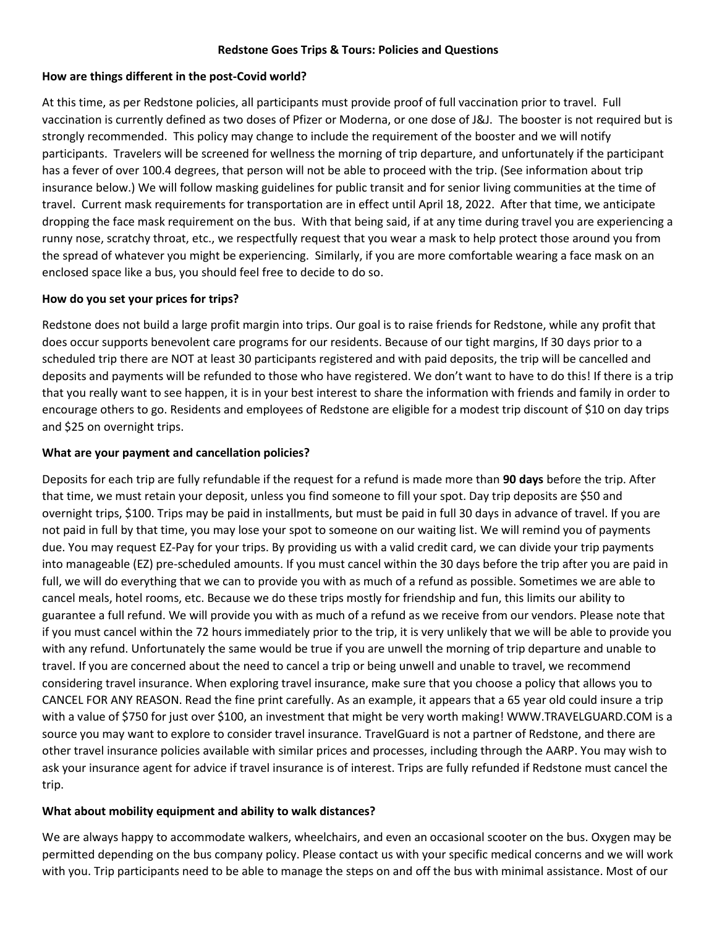## **Redstone Goes Trips & Tours: Policies and Questions**

## **How are things different in the post-Covid world?**

At this time, as per Redstone policies, all participants must provide proof of full vaccination prior to travel. Full vaccination is currently defined as two doses of Pfizer or Moderna, or one dose of J&J. The booster is not required but is strongly recommended. This policy may change to include the requirement of the booster and we will notify participants. Travelers will be screened for wellness the morning of trip departure, and unfortunately if the participant has a fever of over 100.4 degrees, that person will not be able to proceed with the trip. (See information about trip insurance below.) We will follow masking guidelines for public transit and for senior living communities at the time of travel. Current mask requirements for transportation are in effect until April 18, 2022. After that time, we anticipate dropping the face mask requirement on the bus. With that being said, if at any time during travel you are experiencing a runny nose, scratchy throat, etc., we respectfully request that you wear a mask to help protect those around you from the spread of whatever you might be experiencing. Similarly, if you are more comfortable wearing a face mask on an enclosed space like a bus, you should feel free to decide to do so.

## **How do you set your prices for trips?**

Redstone does not build a large profit margin into trips. Our goal is to raise friends for Redstone, while any profit that does occur supports benevolent care programs for our residents. Because of our tight margins, If 30 days prior to a scheduled trip there are NOT at least 30 participants registered and with paid deposits, the trip will be cancelled and deposits and payments will be refunded to those who have registered. We don't want to have to do this! If there is a trip that you really want to see happen, it is in your best interest to share the information with friends and family in order to encourage others to go. Residents and employees of Redstone are eligible for a modest trip discount of \$10 on day trips and \$25 on overnight trips.

#### **What are your payment and cancellation policies?**

Deposits for each trip are fully refundable if the request for a refund is made more than **90 days** before the trip. After that time, we must retain your deposit, unless you find someone to fill your spot. Day trip deposits are \$50 and overnight trips, \$100. Trips may be paid in installments, but must be paid in full 30 days in advance of travel. If you are not paid in full by that time, you may lose your spot to someone on our waiting list. We will remind you of payments due. You may request EZ-Pay for your trips. By providing us with a valid credit card, we can divide your trip payments into manageable (EZ) pre-scheduled amounts. If you must cancel within the 30 days before the trip after you are paid in full, we will do everything that we can to provide you with as much of a refund as possible. Sometimes we are able to cancel meals, hotel rooms, etc. Because we do these trips mostly for friendship and fun, this limits our ability to guarantee a full refund. We will provide you with as much of a refund as we receive from our vendors. Please note that if you must cancel within the 72 hours immediately prior to the trip, it is very unlikely that we will be able to provide you with any refund. Unfortunately the same would be true if you are unwell the morning of trip departure and unable to travel. If you are concerned about the need to cancel a trip or being unwell and unable to travel, we recommend considering travel insurance. When exploring travel insurance, make sure that you choose a policy that allows you to CANCEL FOR ANY REASON. Read the fine print carefully. As an example, it appears that a 65 year old could insure a trip with a value of \$750 for just over \$100, an investment that might be very worth making! WWW.TRAVELGUARD.COM is a source you may want to explore to consider travel insurance. TravelGuard is not a partner of Redstone, and there are other travel insurance policies available with similar prices and processes, including through the AARP. You may wish to ask your insurance agent for advice if travel insurance is of interest. Trips are fully refunded if Redstone must cancel the trip.

## **What about mobility equipment and ability to walk distances?**

We are always happy to accommodate walkers, wheelchairs, and even an occasional scooter on the bus. Oxygen may be permitted depending on the bus company policy. Please contact us with your specific medical concerns and we will work with you. Trip participants need to be able to manage the steps on and off the bus with minimal assistance. Most of our